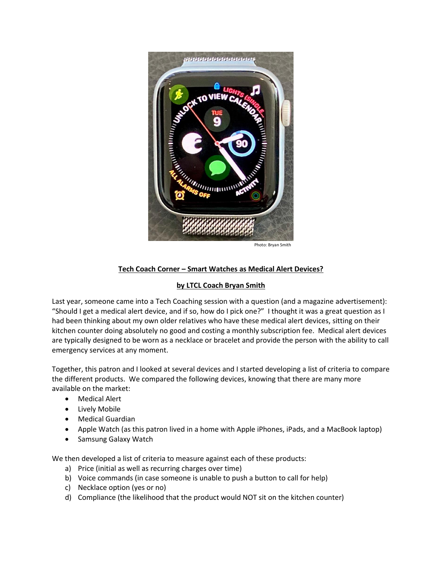

## **Tech Coach Corner – Smart Watches as Medical Alert Devices?**

## **by LTCL Coach Bryan Smith**

Last year, someone came into a Tech Coaching session with a question (and a magazine advertisement): "Should I get a medical alert device, and if so, how do I pick one?" I thought it was a great question as I had been thinking about my own older relatives who have these medical alert devices, sitting on their kitchen counter doing absolutely no good and costing a monthly subscription fee. Medical alert devices are typically designed to be worn as a necklace or bracelet and provide the person with the ability to call emergency services at any moment.

Together, this patron and I looked at several devices and I started developing a list of criteria to compare the different products. We compared the following devices, knowing that there are many more available on the market:

- Medical Alert
- Lively Mobile
- Medical Guardian
- Apple Watch (as this patron lived in a home with Apple iPhones, iPads, and a MacBook laptop)
- Samsung Galaxy Watch

We then developed a list of criteria to measure against each of these products:

- a) Price (initial as well as recurring charges over time)
- b) Voice commands (in case someone is unable to push a button to call for help)
- c) Necklace option (yes or no)
- d) Compliance (the likelihood that the product would NOT sit on the kitchen counter)